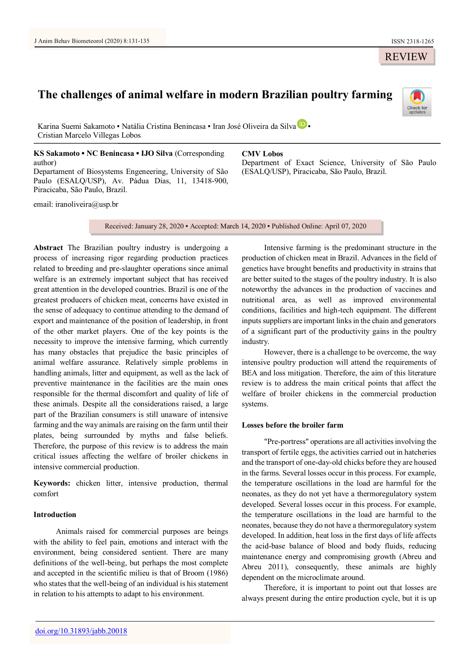# **The challenges of animal welfare in modern Brazilian poultry farming**

K[a](https://orcid.org/0000-0002-4416-8433)rina Suemi Sakamoto • Natália Cristina Benincasa • Iran José Oliveira da Silva D · Cristian Marcelo Villegas Lobos

**KS Sakamoto ▪ NC Benincasa ▪ IJO Silva** (Corresponding author) Departament of Biosystems Engeneering, University of São Paulo (ESALQ/USP), Av. Pádua Dias, 11, 13418-900,

email: [iranoliveira@usp.br](mailto:iranoliveira@usp.br)

Piracicaba, São Paulo, Brazil.

**CMV Lobos**

Department of Exact Science, University of São Paulo (ESALQ/USP), Piracicaba, São Paulo, Brazil.

Received: January 28, 2020 ▪ Accepted: March 14, 2020 ▪ Published Online: April 07, 2020

**Abstract** The Brazilian poultry industry is undergoing a process of increasing rigor regarding production practices related to breeding and pre-slaughter operations since animal welfare is an extremely important subject that has received great attention in the developed countries. Brazil is one of the greatest producers of chicken meat, concerns have existed in the sense of adequacy to continue attending to the demand of export and maintenance of the position of leadership, in front of the other market players. One of the key points is the necessity to improve the intensive farming, which currently has many obstacles that prejudice the basic principles of animal welfare assurance. Relatively simple problems in handling animals, litter and equipment, as well as the lack of preventive maintenance in the facilities are the main ones responsible for the thermal discomfort and quality of life of these animals. Despite all the considerations raised, a large part of the Brazilian consumers is still unaware of intensive farming and the way animals are raising on the farm until their plates, being surrounded by myths and false beliefs. Therefore, the purpose of this review is to address the main critical issues affecting the welfare of broiler chickens in intensive commercial production.

**Keywords:** chicken litter, intensive production, thermal comfort

# **Introduction**

Animals raised for commercial purposes are beings with the ability to feel pain, emotions and interact with the environment, being considered sentient. There are many definitions of the well-being, but perhaps the most complete and accepted in the scientific milieu is that of Broom (1986) who states that the well-being of an individual is his statement in relation to his attempts to adapt to his environment.

Intensive farming is the predominant structure in the production of chicken meat in Brazil. Advances in the field of genetics have brought benefits and productivity in strains that are better suited to the stages of the poultry industry. It is also noteworthy the advances in the production of vaccines and nutritional area, as well as improved environmental conditions, facilities and high-tech equipment. The different inputs suppliers are important links in the chain and generators of a significant part of the productivity gains in the poultry industry.

However, there is a challenge to be overcome, the way intensive poultry production will attend the requirements of BEA and loss mitigation. Therefore, the aim of this literature review is to address the main critical points that affect the welfare of broiler chickens in the commercial production systems.

# **Losses before the broiler farm**

"Pre-portress" operations are all activities involving the transport of fertile eggs, the activities carried out in hatcheries and the transport of one-day-old chicks before they are housed in the farms. Several losses occur in this process. For example, the temperature oscillations in the load are harmful for the neonates, as they do not yet have a thermoregulatory system developed. Several losses occur in this process. For example, the temperature oscillations in the load are harmful to the neonates, because they do not have a thermoregulatory system developed. In addition, heat loss in the first days of life affects the acid-base balance of blood and body fluids, reducing maintenance energy and compromising growth (Abreu and Abreu 2011), consequently, these animals are highly dependent on the microclimate around.

Therefore, it is important to point out that losses are always present during the entire production cycle, but it is up

REVIEW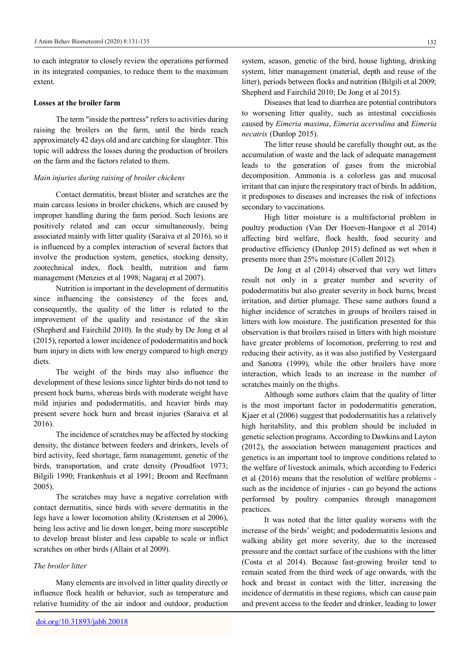to each integrator to closely review the operations performed in its integrated companies, to reduce them to the maximum extent.

#### **Losses at the broiler farm**

The term "inside the portress" refers to activities during raising the broilers on the farm, until the birds reach approximately 42 days old and are catching for slaughter. This topic will address the losses during the production of broilers on the farm and the factors related to them.

# *Main injuries during raising of broiler chickens*

Contact dermatitis, breast blister and scratches are the main carcass lesions in broiler chickens, which are caused by improper handling during the farm period. Such lesions are positively related and can occur simultaneously, being associated mainly with litter quality (Saraiva et al 2016), so it is influenced by a complex interaction of several factors that involve the production system, genetics, stocking density, zootechnical index, flock health, nutrition and farm management (Menzies et al 1998; Nagaraj et al 2007).

Nutrition is important in the development of dermatitis since influencing the consistency of the feces and, consequently, the quality of the litter is related to the improvement of the quality and resistance of the skin (Shepherd and Fairchild 2010). In the study by De Jong et al (2015), reported a lower incidence of pododermatitis and hock burn injury in diets with low energy compared to high energy diets.

The weight of the birds may also influence the development of these lesions since lighter birds do not tend to present hock burns, whereas birds with moderate weight have mild injuries and pododermatitis, and heavier birds may present severe hock burn and breast injuries (Saraiva et al 2016).

The incidence of scratches may be affected by stocking density, the distance between feeders and drinkers, levels of bird activity, feed shortage, farm management, genetic of the birds, transportation, and crate density (Proudfoot 1973; Bilgili 1990; Frankenhuis et al 1991; Broom and Reefmann 2005).

The scratches may have a negative correlation with contact dermatitis, since birds with severe dermatitis in the legs have a lower locomotion ability (Kristensen et al 2006), being less active and lie down longer, being more susceptible to develop breast blister and less capable to scale or inflict scratches on other birds (Allain et al 2009).

#### *The broiler litter*

Many elements are involved in litter quality directly or influence flock health or behavior, such as temperature and relative humidity of the air indoor and outdoor, production

system, season, genetic of the bird, house lighting, drinking system, litter management (material, depth and reuse of the litter), periods between flocks and nutrition (Bilgili et al 2009; Shepherd and Fairchild 2010; De Jong et al 2015).

Diseases that lead to diarrhea are potential contributors to worsening litter quality, such as intestinal coccidiosis caused by *Eimeria maxima*, *Eimeria acervulina* and *Eimeria necatrix* (Dunlop 2015).

The litter reuse should be carefully thought out, as the accumulation of waste and the lack of adequate management leads to the generation of gases from the microbial decomposition. Ammonia is a colorless gas and mucosal irritant that can injure the respiratory tract of birds. In addition, it predisposes to diseases and increases the risk of infections secondary to vaccinations.

High litter moisture is a multifactorial problem in poultry production (Van Der Hoeven-Hangoor et al 2014) affecting bird welfare, flock health, food security and productive efficiency (Dunlop 2015) defined as wet when it presents more than 25% moisture (Collett 2012).

De Jong et al (2014) observed that very wet litters result not only in a greater number and severity of pododermatitis but also greater severity in hock burns, breast irritation, and dirtier plumage. These same authors found a higher incidence of scratches in groups of broilers raised in litters with low moisture. The justification presented for this observation is that broilers raised in litters with high moisture have greater problems of locomotion, preferring to rest and reducing their activity, as it was also justified by Vestergaard and Sanotra (1999), while the other broilers have more interaction, which leads to an increase in the number of scratches mainly on the thighs.

Although some authors claim that the quality of litter is the most important factor in pododermatitis generation, Kjaer et al (2006) suggest that pododermatitis has a relatively high heritability, and this problem should be included in genetic selection programs. According to Dawkins and Layton (2012), the association between management practices and genetics is an important tool to improve conditions related to the welfare of livestock animals, which according to Federici et al (2016) means that the resolution of welfare problems such as the incidence of injuries - can go beyond the actions performed by poultry companies through management practices.

It was noted that the litter quality worsens with the increase of the birds' weight; and pododermatitis lesions and walking ability get more severity, due to the increased pressure and the contact surface of the cushions with the litter (Costa et al 2014). Because fast-growing broiler tend to remain seated from the third week of age onwards, with the hock and breast in contact with the litter, increasing the incidence of dermatitis in these regions, which can cause pain and prevent access to the feeder and drinker, leading to lower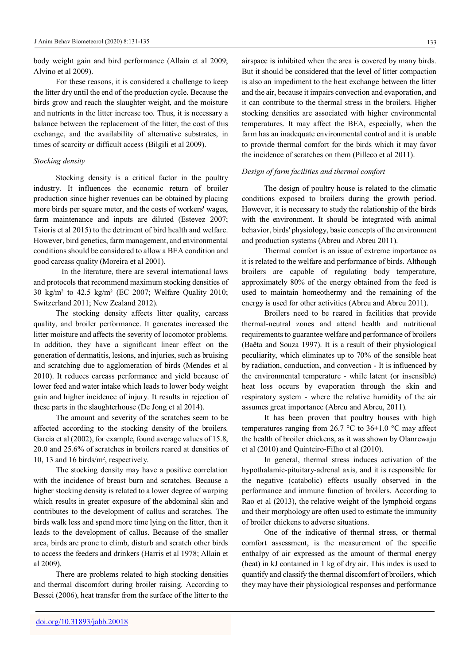body weight gain and bird performance (Allain et al 2009; Alvino et al 2009).

For these reasons, it is considered a challenge to keep the litter dry until the end of the production cycle. Because the birds grow and reach the slaughter weight, and the moisture and nutrients in the litter increase too. Thus, it is necessary a balance between the replacement of the litter, the cost of this exchange, and the availability of alternative substrates, in times of scarcity or difficult access (Bilgili et al 2009).

## *Stocking density*

Stocking density is a critical factor in the poultry industry. It influences the economic return of broiler production since higher revenues can be obtained by placing more birds per square meter, and the costs of workers' wages, farm maintenance and inputs are diluted (Estevez 2007; Tsioris et al 2015) to the detriment of bird health and welfare. However, bird genetics, farm management, and environmental conditions should be considered to allow a BEA condition and good carcass quality (Moreira et al 2001).

In the literature, there are several international laws and protocols that recommend maximum stocking densities of 30 kg/m² to 42.5 kg/m² (EC 2007; Welfare Quality 2010; Switzerland 2011; New Zealand 2012).

The stocking density affects litter quality, carcass quality, and broiler performance. It generates increased the litter moisture and affects the severity of locomotor problems. In addition, they have a significant linear effect on the generation of dermatitis, lesions, and injuries, such as bruising and scratching due to agglomeration of birds (Mendes et al 2010). It reduces carcass performance and yield because of lower feed and water intake which leads to lower body weight gain and higher incidence of injury. It results in rejection of these parts in the slaughterhouse (De Jong et al 2014).

The amount and severity of the scratches seem to be affected according to the stocking density of the broilers. Garcia et al (2002), for example, found average values of 15.8, 20.0 and 25.6% of scratches in broilers reared at densities of 10, 13 and 16 birds/m², respectively.

The stocking density may have a positive correlation with the incidence of breast burn and scratches. Because a higher stocking density is related to a lower degree of warping which results in greater exposure of the abdominal skin and contributes to the development of callus and scratches. The birds walk less and spend more time lying on the litter, then it leads to the development of callus. Because of the smaller area, birds are prone to climb, disturb and scratch other birds to access the feeders and drinkers (Harris et al 1978; Allain et al 2009).

There are problems related to high stocking densities and thermal discomfort during broiler raising. According to Bessei (2006), heat transfer from the surface of the litter to the

airspace is inhibited when the area is covered by many birds. But it should be considered that the level of litter compaction is also an impediment to the heat exchange between the litter and the air, because it impairs convection and evaporation, and it can contribute to the thermal stress in the broilers. Higher stocking densities are associated with higher environmental temperatures. It may affect the BEA, especially, when the farm has an inadequate environmental control and it is unable to provide thermal comfort for the birds which it may favor the incidence of scratches on them (Pilleco et al 2011).

# *Design of farm facilities and thermal comfort*

The design of poultry house is related to the climatic conditions exposed to broilers during the growth period. However, it is necessary to study the relationship of the birds with the environment. It should be integrated with animal behavior, birds' physiology, basic concepts of the environment and production systems (Abreu and Abreu 2011).

Thermal comfort is an issue of extreme importance as it is related to the welfare and performance of birds. Although broilers are capable of regulating body temperature, approximately 80% of the energy obtained from the feed is used to maintain homeothermy and the remaining of the energy is used for other activities (Abreu and Abreu 2011).

Broilers need to be reared in facilities that provide thermal-neutral zones and attend health and nutritional requirements to guarantee welfare and performance of broilers (Baêta and Souza 1997). It is a result of their physiological peculiarity, which eliminates up to 70% of the sensible heat by radiation, conduction, and convection - It is influenced by the environmental temperature - while latent (or insensible) heat loss occurs by evaporation through the skin and respiratory system - where the relative humidity of the air assumes great importance (Abreu and Abreu, 2011).

It has been proven that poultry houses with high temperatures ranging from 26.7  $\degree$ C to 36 $\pm$ 1.0  $\degree$ C may affect the health of broiler chickens, as it was shown by Olanrewaju et al (2010) and Quinteiro-Filho et al (2010).

In general, thermal stress induces activation of the hypothalamic-pituitary-adrenal axis, and it is responsible for the negative (catabolic) effects usually observed in the performance and immune function of broilers. According to Rao et al (2013), the relative weight of the lymphoid organs and their morphology are often used to estimate the immunity of broiler chickens to adverse situations.

One of the indicative of thermal stress, or thermal comfort assessment, is the measurement of the specific enthalpy of air expressed as the amount of thermal energy (heat) in kJ contained in 1 kg of dry air. This index is used to quantify and classify the thermal discomfort of broilers, which they may have their physiological responses and performance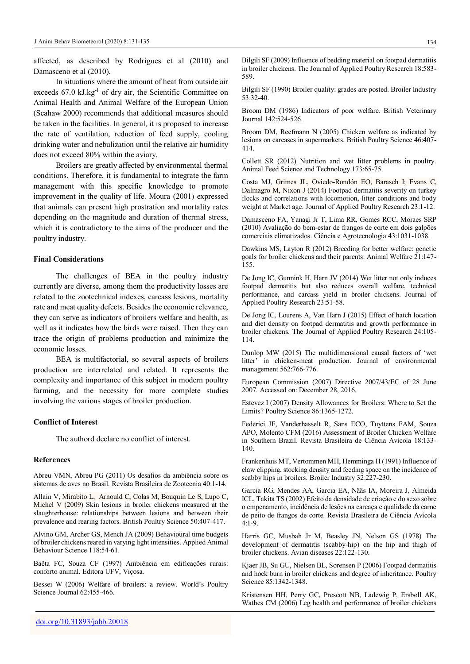affected, as described by Rodrigues et al (2010) and Damasceno et al (2010).

In situations where the amount of heat from outside air exceeds  $67.0 \text{ kJ/kg}^{-1}$  of dry air, the Scientific Committee on Animal Health and Animal Welfare of the European Union (Scahaw 2000) recommends that additional measures should be taken in the facilities. In general, it is proposed to increase the rate of ventilation, reduction of feed supply, cooling drinking water and nebulization until the relative air humidity does not exceed 80% within the aviary.

Broilers are greatly affected by environmental thermal conditions. Therefore, it is fundamental to integrate the farm management with this specific knowledge to promote improvement in the quality of life. Moura (2001) expressed that animals can present high prostration and mortality rates depending on the magnitude and duration of thermal stress, which it is contradictory to the aims of the producer and the poultry industry.

#### **Final Considerations**

The challenges of BEA in the poultry industry currently are diverse, among them the productivity losses are related to the zootechnical indexes, carcass lesions, mortality rate and meat quality defects. Besides the economic relevance, they can serve as indicators of broilers welfare and health, as well as it indicates how the birds were raised. Then they can trace the origin of problems production and minimize the economic losses.

BEA is multifactorial, so several aspects of broilers production are interrelated and related. It represents the complexity and importance of this subject in modern poultry farming, and the necessity for more complete studies involving the various stages of broiler production.

#### **Conflict of Interest**

The authord declare no conflict of interest.

## **References**

Abreu VMN, Abreu PG (2011) Os desafios da ambiência sobre os sistemas de aves no Brasil. Revista Brasileira de Zootecnia 40:1-14.

Allain V, [Mirabito](https://www.ncbi.nlm.nih.gov/pubmed/?term=Mirabito%20L%5BAuthor%5D&cauthor=true&cauthor_uid=19735009) L, [Arnould](https://www.ncbi.nlm.nih.gov/pubmed/?term=Arnould%20C%5BAuthor%5D&cauthor=true&cauthor_uid=19735009) C[, Colas](https://www.ncbi.nlm.nih.gov/pubmed/?term=Colas%20M%5BAuthor%5D&cauthor=true&cauthor_uid=19735009) M, [Bouquin Le](https://www.ncbi.nlm.nih.gov/pubmed/?term=Le%20Bouquin%20S%5BAuthor%5D&cauthor=true&cauthor_uid=19735009) S[, Lupo](https://www.ncbi.nlm.nih.gov/pubmed/?term=Lupo%20C%5BAuthor%5D&cauthor=true&cauthor_uid=19735009) C, [Michel](https://www.ncbi.nlm.nih.gov/pubmed/?term=Michel%20V%5BAuthor%5D&cauthor=true&cauthor_uid=19735009) V (2009) Skin lesions in broiler chickens measured at the slaughterhouse: relationships between lesions and between their prevalence and rearing factors. British Poultry Science 50:407-417.

Alvino GM, Archer GS, Mench JA (2009) Behavioural time budgets of broiler chickens reared in varying light intensities. Applied Animal Behaviour Science 118:54-61.

Baêta FC, Souza CF (1997) Ambiência em edificações rurais: conforto animal. Editora UFV, Viçosa.

Bessei W (2006) Welfare of broilers: a review. World's Poultry Science Journal 62:455-466.

Bilgili SF (1990) Broiler quality: grades are posted. Broiler Industry 53:32-40.

589.

Broom DM (1986) Indicators of poor welfare. British Veterinary Journal 142:524-526.

Broom DM, Reefmann N (2005) Chicken welfare as indicated by lesions on carcases in supermarkets. British Poultry Science 46:407- 414.

Collett SR (2012) Nutrition and wet litter problems in poultry. Animal Feed Science and Technology 173:65-75.

Costa MJ, Grimes JL, Oviedo-Rondón EO, Barasch I; Evans C, Dalmagro M, Nixon J (2014) Footpad dermatitis severity on turkey flocks and correlations with locomotion, litter conditions and body weight at Market age. Journal of Applied Poultry Research 23:1-12.

Damasceno FA, Yanagi Jr T, Lima RR, Gomes RCC, Moraes SRP (2010) Avaliação do bem-estar de frangos de corte em dois galpões comerciais climatizados. Ciência e Agrotecnologia 43:1031-1038.

Dawkins MS, Layton R (2012) Breeding for better welfare: genetic goals for broiler chickens and their parents. Animal Welfare 21:147- 155.

De Jong IC, Gunnink H, Harn JV (2014) Wet litter not only induces footpad dermatitis but also reduces overall welfare, technical performance, and carcass yield in broiler chickens. Journal of Applied Poultry Research 23:51-58.

De Jong IC, Lourens A, Van Harn J (2015) Effect of hatch location and diet density on footpad dermatitis and growth performance in broiler chickens. The Journal of Applied Poultry Research 24:105- 114.

Dunlop MW (2015) The multidimensional causal factors of 'wet litter' in chicken-meat production. Journal of environmental management 562:766-776.

European Commission (2007) Directive 2007/43/EC of 28 June 2007. Accessed on: December 28, 2016.

Estevez I (2007) Density Allowances for Broilers: Where to Set the Limits? Poultry Science 86:1365-1272.

Federici JF, Vanderhasselt R, Sans ECO, Tuyttens FAM, Souza APO, Molento CFM (2016) Assessment of Broiler Chicken Welfare in Southern Brazil. Revista Brasileira de Ciência Avícola 18:133- 140.

Frankenhuis MT, Vertommen MH, Hemminga H (1991) Influence of claw clipping, stocking density and feeding space on the incidence of scabby hips in broilers. Broiler Industry 32:227-230.

Garcia RG, Mendes AA, Garcia EA, Nääs IA, Moreira J, Almeida ICL, Takita TS (2002) Efeito da densidade de criação e do sexo sobre o empenamento, incidência de lesões na carcaça e qualidade da carne de peito de frangos de corte. Revista Brasileira de Ciência Avícola  $4:1-9$ .

Harris GC, Musbah Jr M, Beasley JN, Nelson GS (1978) The development of dermatitis (scabby-hip) on the hip and thigh of broiler chickens. Avian diseases 22:122-130.

Kjaer JB, Su GU, Nielsen BL, Sorensen P (2006) Footpad dermatitis and hock burn in broiler chickens and degree of inheritance. Poultry Science 85:1342-1348.

Kristensen HH, Perry GC, Prescott NB, Ladewig P, Ersbøll AK, Wathes CM (2006) Leg health and performance of broiler chickens